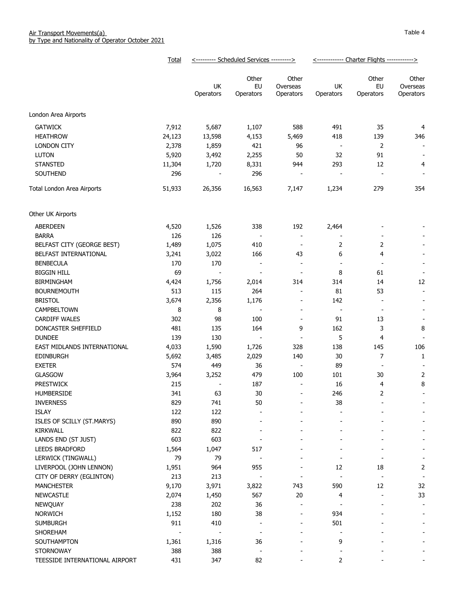| Total                                 | <--------- Scheduled Services ---------> |                          |                          | <------------ Charter Flights ------------> |                          |                          |
|---------------------------------------|------------------------------------------|--------------------------|--------------------------|---------------------------------------------|--------------------------|--------------------------|
|                                       | UK                                       | Other<br>EU              | Other<br>Overseas        | UK                                          | Other<br>EU              | Other<br>Overseas        |
|                                       | Operators                                | Operators                | Operators                | Operators                                   | Operators                | Operators                |
| London Area Airports                  |                                          |                          |                          |                                             |                          |                          |
| <b>GATWICK</b><br>7,912               | 5,687                                    | 1,107                    | 588                      | 491                                         | 35                       | 4                        |
| <b>HEATHROW</b><br>24,123             | 13,598                                   | 4,153                    | 5,469                    | 418                                         | 139                      | 346                      |
| <b>LONDON CITY</b><br>2,378           | 1,859                                    | 421                      | 96                       | $\blacksquare$                              | $\overline{2}$           | $\overline{\phantom{a}}$ |
| <b>LUTON</b><br>5,920                 | 3,492                                    | 2,255                    | 50                       | 32                                          | 91                       | $\overline{\phantom{a}}$ |
| <b>STANSTED</b><br>11,304             | 1,720                                    | 8,331                    | 944                      | 293                                         | 12                       | 4                        |
| SOUTHEND<br>296                       |                                          | 296                      | $\overline{\phantom{a}}$ | $\overline{\phantom{a}}$                    | $\overline{\phantom{a}}$ |                          |
| 51,933<br>Total London Area Airports  | 26,356                                   | 16,563                   | 7,147                    | 1,234                                       | 279                      | 354                      |
|                                       |                                          |                          |                          |                                             |                          |                          |
| Other UK Airports                     |                                          |                          |                          |                                             |                          |                          |
| ABERDEEN<br>4,520                     | 1,526                                    | 338                      | 192                      | 2,464                                       |                          |                          |
| <b>BARRA</b><br>126                   | 126                                      |                          | $\overline{\phantom{a}}$ | $\overline{\phantom{a}}$                    |                          |                          |
| BELFAST CITY (GEORGE BEST)<br>1,489   | 1,075                                    | 410                      | $\overline{\phantom{a}}$ | 2                                           | 2                        |                          |
| BELFAST INTERNATIONAL<br>3,241        | 3,022                                    | 166                      | 43                       | 6                                           | 4                        |                          |
| <b>BENBECULA</b><br>170               | 170                                      | $\overline{\phantom{a}}$ | $\overline{\phantom{a}}$ | $\overline{\phantom{a}}$                    | $\overline{\phantom{m}}$ |                          |
| <b>BIGGIN HILL</b><br>69              |                                          | $\frac{1}{2}$            | $\overline{\phantom{a}}$ | 8                                           | 61                       |                          |
| BIRMINGHAM<br>4,424                   | 1,756                                    | 2,014                    | 314                      | 314                                         | 14                       | 12                       |
| 513<br><b>BOURNEMOUTH</b>             | 115                                      | 264                      | $\overline{\phantom{a}}$ | 81                                          | 53                       |                          |
| <b>BRISTOL</b><br>3,674               | 2,356                                    | 1,176                    |                          | 142                                         | $\overline{\phantom{a}}$ |                          |
| CAMPBELTOWN<br>8                      | 8                                        | $\blacksquare$           | $\overline{\phantom{a}}$ | $\overline{\phantom{a}}$                    | $\overline{\phantom{a}}$ |                          |
| <b>CARDIFF WALES</b><br>302           | 98                                       | 100                      | $\overline{\phantom{a}}$ | 91                                          | 13                       |                          |
| DONCASTER SHEFFIELD<br>481            | 135                                      | 164                      | 9                        | 162                                         | 3                        | 8                        |
| <b>DUNDEE</b><br>139                  | 130                                      | $\overline{\phantom{a}}$ | $\overline{\phantom{a}}$ | 5                                           | 4                        |                          |
| EAST MIDLANDS INTERNATIONAL<br>4,033  | 1,590                                    | 1,726                    | 328                      | 138                                         | 145                      | 106                      |
| <b>EDINBURGH</b><br>5,692             | 3,485                                    | 2,029                    | 140                      | 30                                          | 7                        | 1                        |
| <b>EXETER</b><br>574                  | 449                                      | 36                       | $\overline{\phantom{a}}$ | 89                                          | $\overline{\phantom{a}}$ |                          |
| <b>GLASGOW</b><br>3,964               | 3,252                                    | 479                      | 100                      | 101                                         | 30                       | 2                        |
| <b>PRESTWICK</b><br>215               |                                          | 187                      | $\overline{\phantom{a}}$ | 16                                          | 4                        | 8                        |
| <b>HUMBERSIDE</b><br>341              | 63                                       | 30                       |                          | 246                                         | 2                        |                          |
| 829<br><b>INVERNESS</b>               | 741                                      | 50                       |                          | 38                                          |                          | $\overline{\phantom{a}}$ |
| ISLAY<br>122                          | 122                                      |                          |                          |                                             |                          |                          |
| 890<br>ISLES OF SCILLY (ST.MARYS)     | 890                                      |                          |                          |                                             |                          |                          |
| <b>KIRKWALL</b><br>822                | 822                                      |                          |                          |                                             |                          |                          |
| 603<br>LANDS END (ST JUST)            | 603                                      |                          |                          |                                             |                          |                          |
| LEEDS BRADFORD<br>1,564               | 1,047                                    | 517                      |                          |                                             |                          |                          |
| LERWICK (TINGWALL)<br>79              | 79                                       |                          |                          |                                             |                          |                          |
| LIVERPOOL (JOHN LENNON)<br>1,951      | 964                                      | 955                      |                          | 12                                          | 18                       | 2                        |
| CITY OF DERRY (EGLINTON)<br>213       | 213                                      |                          |                          |                                             |                          |                          |
| <b>MANCHESTER</b><br>9,170            | 3,971                                    | 3,822                    | 743                      | 590                                         | 12                       | 32                       |
| <b>NEWCASTLE</b><br>2,074             | 1,450                                    | 567                      | 20                       | 4                                           |                          | 33                       |
| NEWQUAY<br>238                        | 202                                      | 36                       |                          |                                             |                          |                          |
| <b>NORWICH</b><br>1,152               | 180                                      | 38                       |                          | 934                                         |                          |                          |
| <b>SUMBURGH</b><br>911                | 410                                      |                          |                          | 501                                         |                          |                          |
| SHOREHAM                              |                                          |                          |                          |                                             |                          |                          |
| SOUTHAMPTON<br>1,361                  | 1,316                                    | 36                       |                          | 9                                           |                          |                          |
| <b>STORNOWAY</b><br>388               | 388                                      |                          |                          |                                             |                          |                          |
| 431<br>TEESSIDE INTERNATIONAL AIRPORT | 347                                      | 82                       |                          | 2                                           |                          |                          |